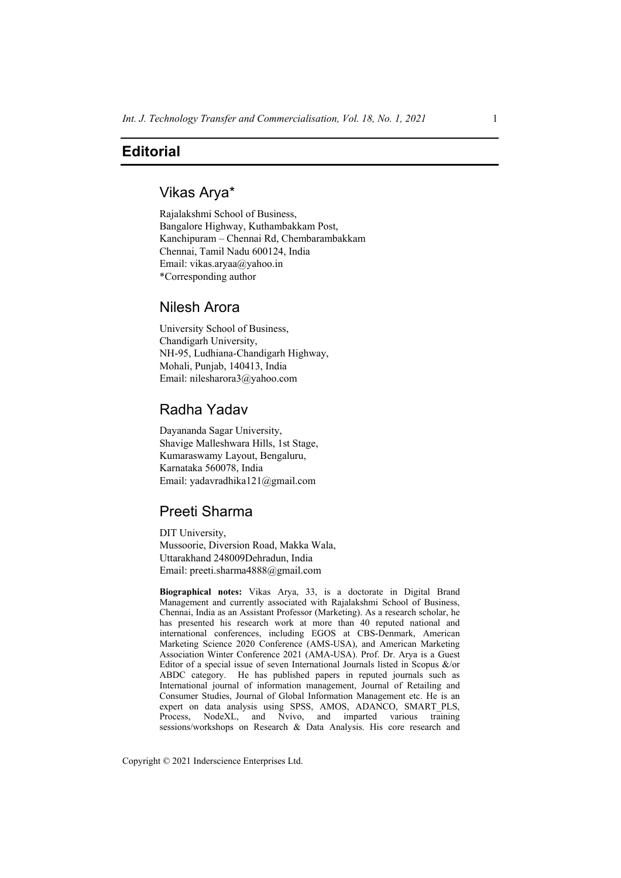# **Editorial**

### Vikas Arya\*

Rajalakshmi School of Business, Bangalore Highway, Kuthambakkam Post, Kanchipuram – Chennai Rd, Chembarambakkam Chennai, Tamil Nadu 600124, India Email: vikas.aryaa@yahoo.in \*Corresponding author

## Nilesh Arora

University School of Business, Chandigarh University, NH-95, Ludhiana-Chandigarh Highway, Mohali, Punjab, 140413, India Email: nilesharora3@yahoo.com

## Radha Yadav

Dayananda Sagar University, Shavige Malleshwara Hills, 1st Stage, Kumaraswamy Layout, Bengaluru, Karnataka 560078, India Email: yadavradhika121@gmail.com

## Preeti Sharma

DIT University, Mussoorie, Diversion Road, Makka Wala, Uttarakhand 248009Dehradun, India Email: preeti.sharma4888@gmail.com

**Biographical notes:** Vikas Arya, 33, is a doctorate in Digital Brand Management and currently associated with Rajalakshmi School of Business, Chennai, India as an Assistant Professor (Marketing). As a research scholar, he has presented his research work at more than 40 reputed national and international conferences, including EGOS at CBS-Denmark, American Marketing Science 2020 Conference (AMS-USA), and American Marketing Association Winter Conference 2021 (AMA-USA). Prof. Dr. Arya is a Guest Editor of a special issue of seven International Journals listed in Scopus &/or ABDC category. He has published papers in reputed journals such as International journal of information management, Journal of Retailing and Consumer Studies, Journal of Global Information Management etc. He is an expert on data analysis using SPSS, AMOS, ADANCO, SMART PLS, Process, NodeXL, and Nvivo, and imparted various training sessions/workshops on Research & Data Analysis. His core research and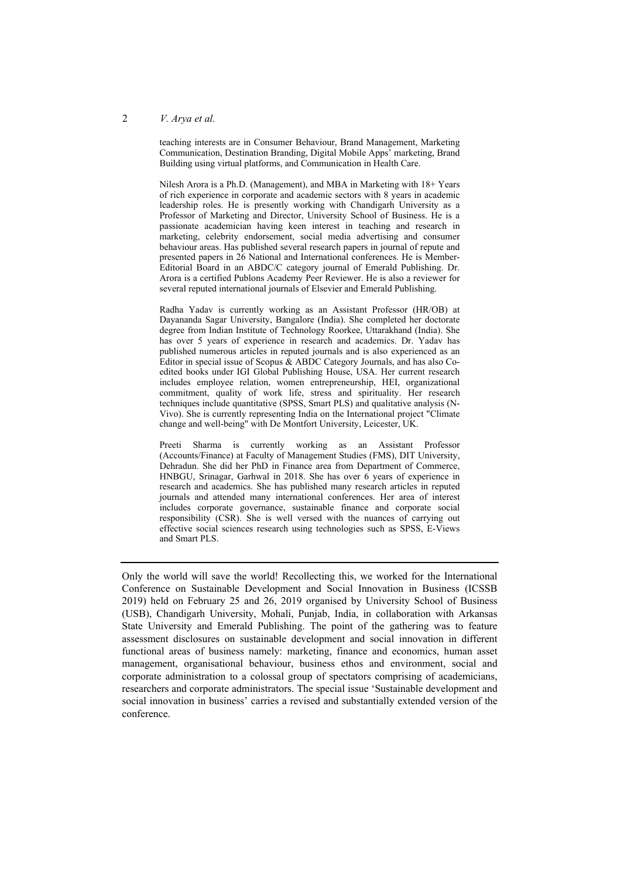#### 2 *V. Arya et al.*

teaching interests are in Consumer Behaviour, Brand Management, Marketing Communication, Destination Branding, Digital Mobile Apps' marketing, Brand Building using virtual platforms, and Communication in Health Care.

Nilesh Arora is a Ph.D. (Management), and MBA in Marketing with 18+ Years of rich experience in corporate and academic sectors with 8 years in academic leadership roles. He is presently working with Chandigarh University as a Professor of Marketing and Director, University School of Business. He is a passionate academician having keen interest in teaching and research in marketing, celebrity endorsement, social media advertising and consumer behaviour areas. Has published several research papers in journal of repute and presented papers in 26 National and International conferences. He is Member-Editorial Board in an ABDC/C category journal of Emerald Publishing. Dr. Arora is a certified Publons Academy Peer Reviewer. He is also a reviewer for several reputed international journals of Elsevier and Emerald Publishing.

Radha Yadav is currently working as an Assistant Professor (HR/OB) at Dayananda Sagar University, Bangalore (India). She completed her doctorate degree from Indian Institute of Technology Roorkee, Uttarakhand (India). She has over 5 years of experience in research and academics. Dr. Yadav has published numerous articles in reputed journals and is also experienced as an Editor in special issue of Scopus  $\&$  ABDC Category Journals, and has also Coedited books under IGI Global Publishing House, USA. Her current research includes employee relation, women entrepreneurship, HEI, organizational commitment, quality of work life, stress and spirituality. Her research techniques include quantitative (SPSS, Smart PLS) and qualitative analysis (N-Vivo). She is currently representing India on the International project "Climate change and well-being" with De Montfort University, Leicester, UK.

Preeti Sharma is currently working as an Assistant Professor (Accounts/Finance) at Faculty of Management Studies (FMS), DIT University, Dehradun. She did her PhD in Finance area from Department of Commerce, HNBGU, Srinagar, Garhwal in 2018. She has over 6 years of experience in research and academics. She has published many research articles in reputed journals and attended many international conferences. Her area of interest includes corporate governance, sustainable finance and corporate social responsibility (CSR). She is well versed with the nuances of carrying out effective social sciences research using technologies such as SPSS, E-Views and Smart PLS.

Only the world will save the world! Recollecting this, we worked for the International Conference on Sustainable Development and Social Innovation in Business (ICSSB 2019) held on February 25 and 26, 2019 organised by University School of Business (USB), Chandigarh University, Mohali, Punjab, India, in collaboration with Arkansas State University and Emerald Publishing. The point of the gathering was to feature assessment disclosures on sustainable development and social innovation in different functional areas of business namely: marketing, finance and economics, human asset management, organisational behaviour, business ethos and environment, social and corporate administration to a colossal group of spectators comprising of academicians, researchers and corporate administrators. The special issue 'Sustainable development and social innovation in business' carries a revised and substantially extended version of the conference.